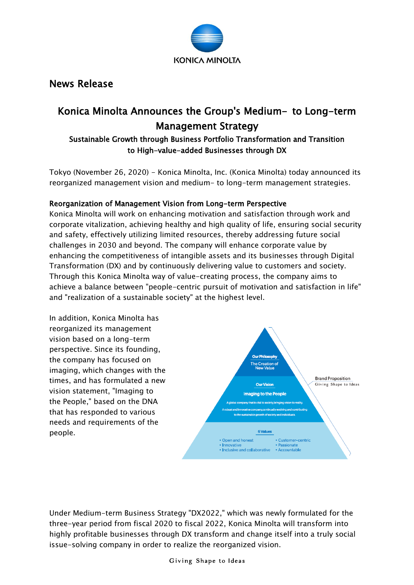

# News Release

# Konica Minolta Announces the Group's Medium- to Long-term Management Strategy

# Sustainable Growth through Business Portfolio Transformation and Transition to High-value-added Businesses through DX

Tokyo (November 26, 2020) - Konica Minolta, Inc. (Konica Minolta) today announced its reorganized management vision and medium- to long-term management strategies.

## Reorganization of Management Vision from Long-term Perspective

Konica Minolta will work on enhancing motivation and satisfaction through work and corporate vitalization, achieving healthy and high quality of life, ensuring social security and safety, effectively utilizing limited resources, thereby addressing future social challenges in 2030 and beyond. The company will enhance corporate value by enhancing the competitiveness of intangible assets and its businesses through Digital Transformation (DX) and by continuously delivering value to customers and society. Through this Konica Minolta way of value-creating process, the company aims to achieve a balance between "people-centric pursuit of motivation and satisfaction in life" and "realization of a sustainable society" at the highest level.



Under Medium-term Business Strategy "DX2022," which was newly formulated for the three-year period from fiscal 2020 to fiscal 2022, Konica Minolta will transform into highly profitable businesses through DX transform and change itself into a truly social issue-solving company in order to realize the reorganized vision.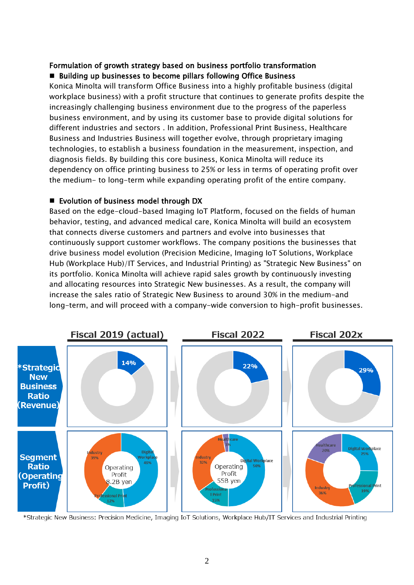## Formulation of growth strategy based on business portfolio transformation ■ Building up businesses to become pillars following Office Business

Konica Minolta will transform Office Business into a highly profitable business (digital workplace business) with a profit structure that continues to generate profits despite the increasingly challenging business environment due to the progress of the paperless business environment, and by using its customer base to provide digital solutions for different industries and sectors . In addition, Professional Print Business, Healthcare Business and Industries Business will together evolve, through proprietary imaging technologies, to establish a business foundation in the measurement, inspection, and diagnosis fields. By building this core business, Konica Minolta will reduce its dependency on office printing business to 25% or less in terms of operating profit over the medium- to long-term while expanding operating profit of the entire company.

## ■ Evolution of business model through DX

Based on the edge-cloud-based Imaging IoT Platform, focused on the fields of human behavior, testing, and advanced medical care, Konica Minolta will build an ecosystem that connects diverse customers and partners and evolve into businesses that continuously support customer workflows. The company positions the businesses that drive business model evolution (Precision Medicine, Imaging IoT Solutions, Workplace Hub (Workplace Hub)/IT Services, and Industrial Printing) as "Strategic New Business" on its portfolio. Konica Minolta will achieve rapid sales growth by continuously investing and allocating resources into Strategic New businesses. As a result, the company will increase the sales ratio of Strategic New Business to around 30% in the medium-and long-term, and will proceed with a company-wide conversion to high-profit businesses.



\*Strategic New Business: Precision Medicine, Imaging IoT Solutions, Workplace Hub/IT Services and Industrial Printing